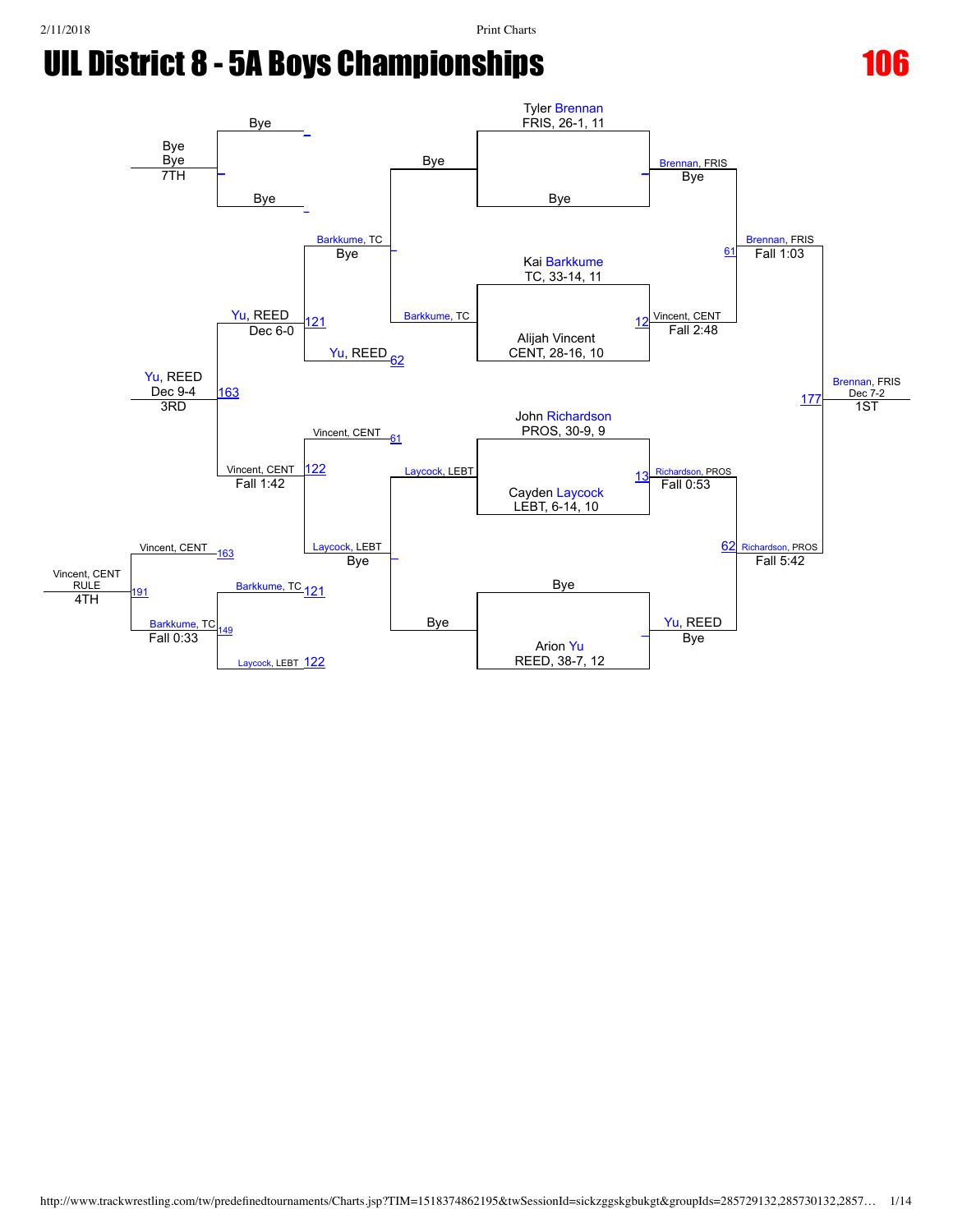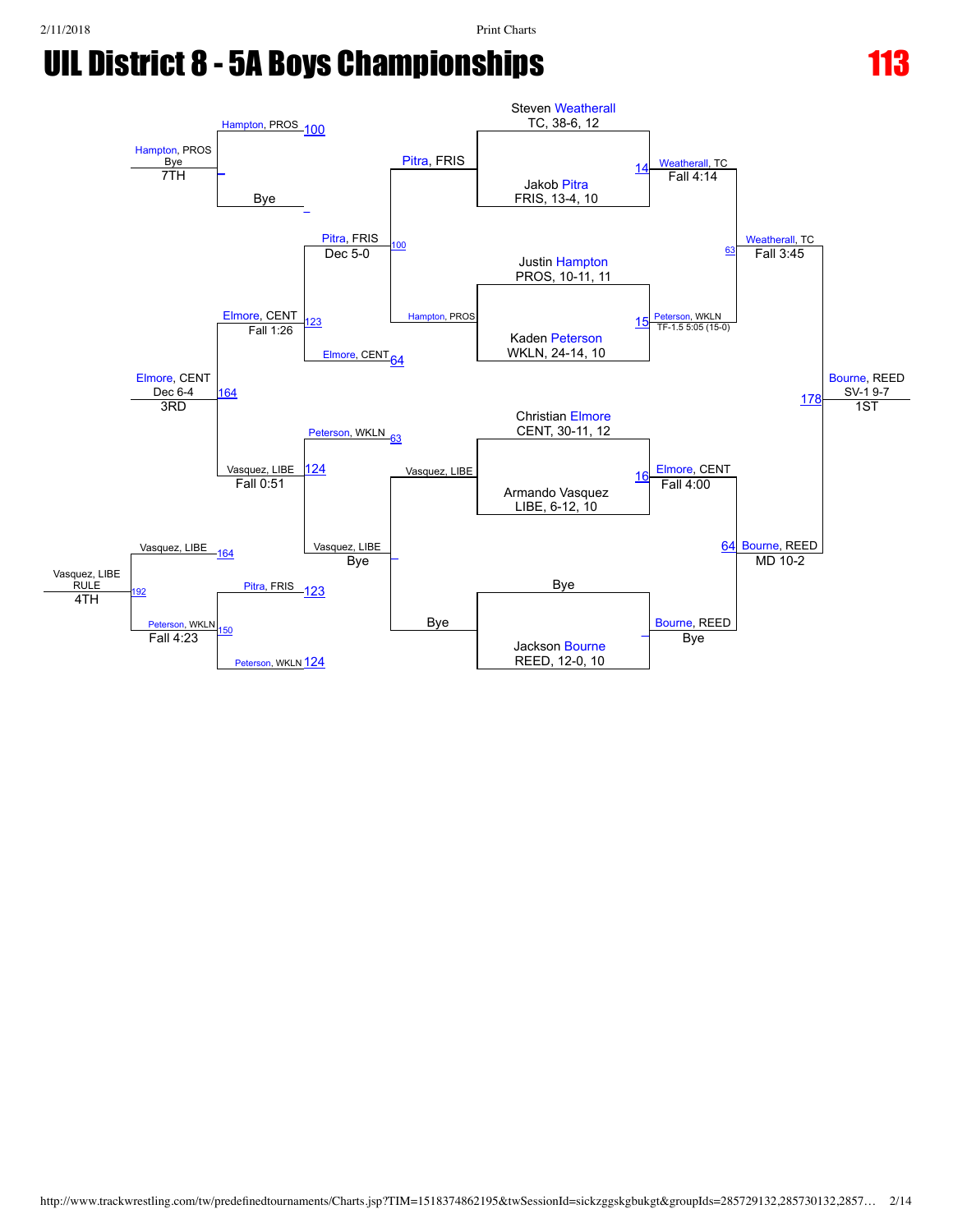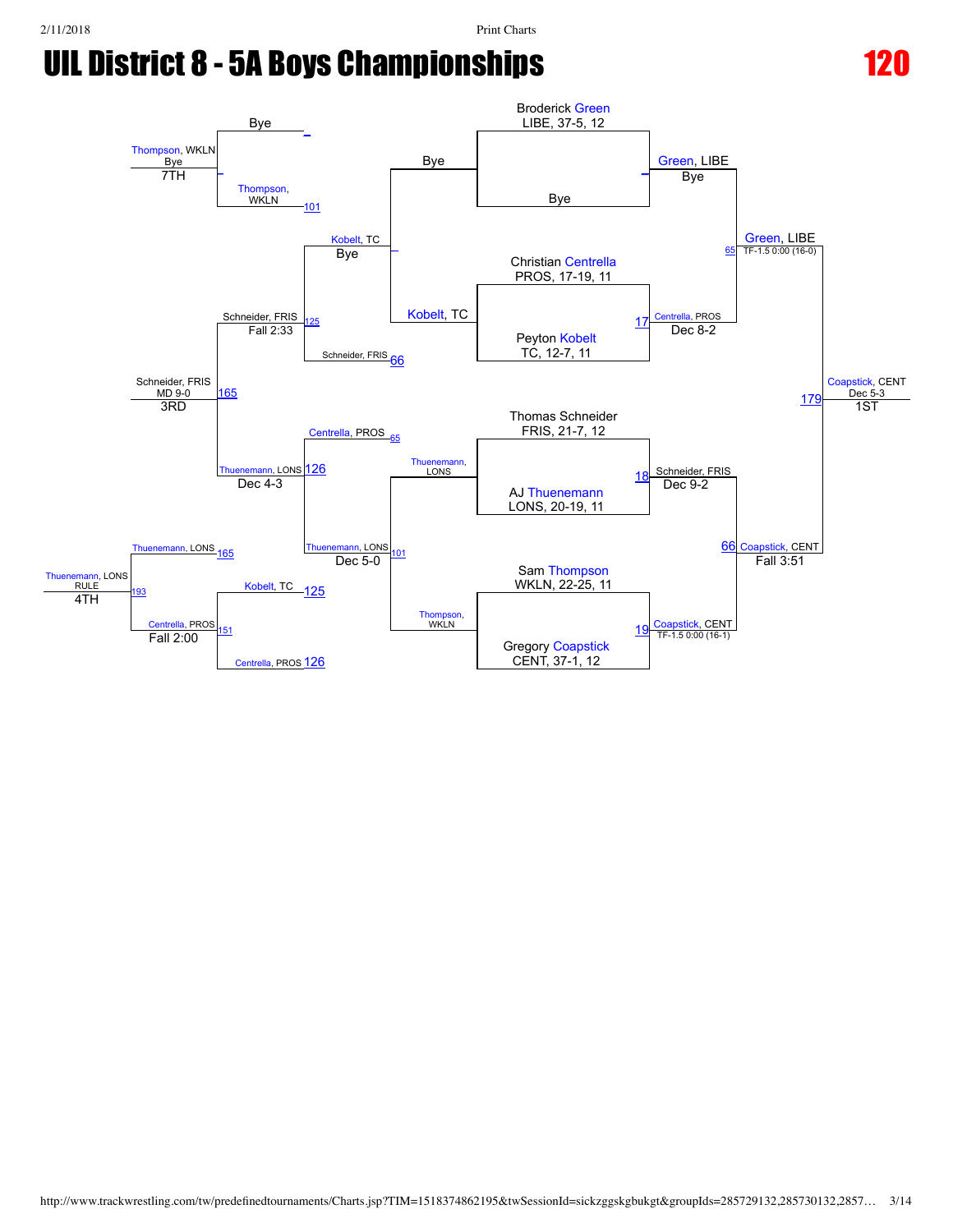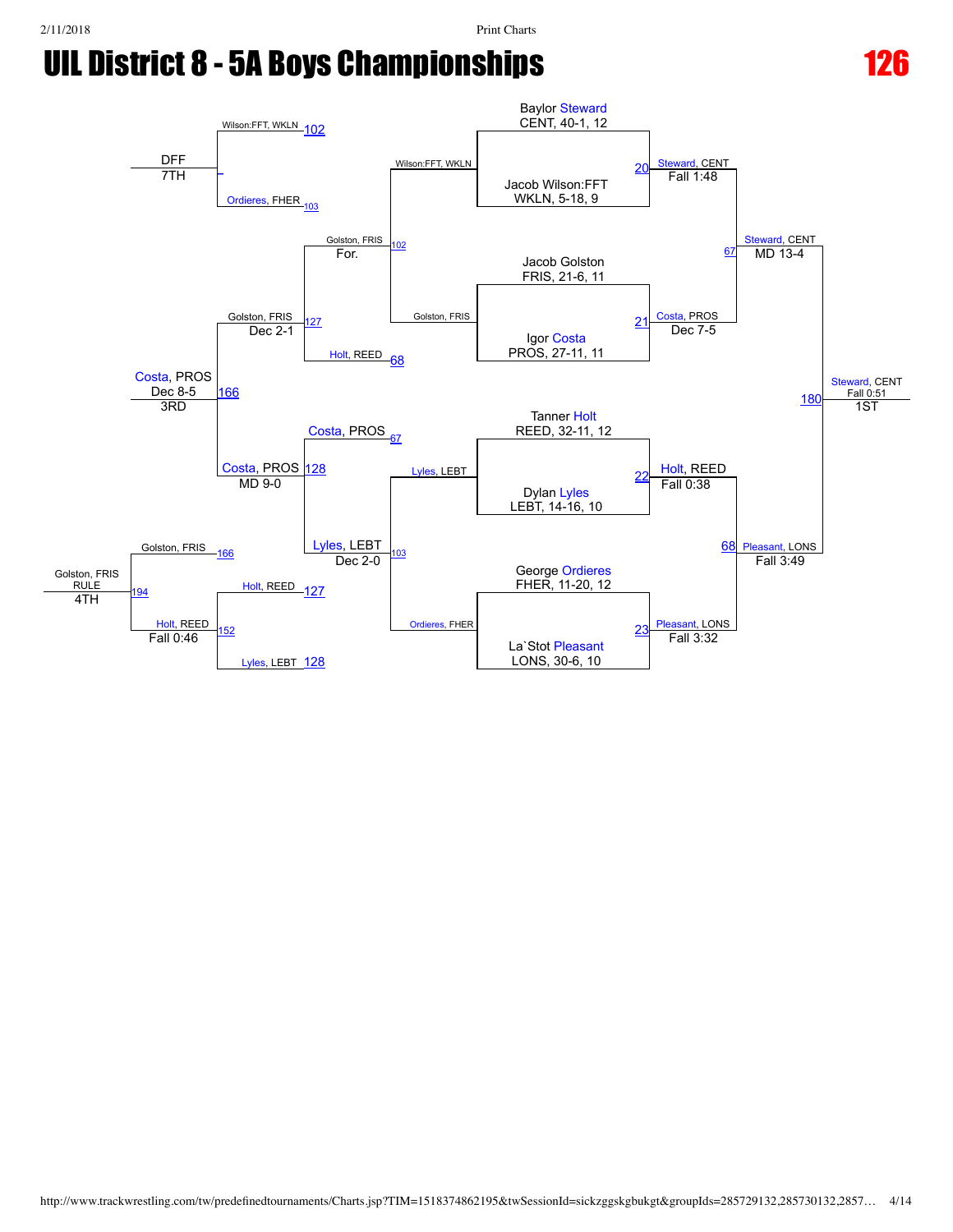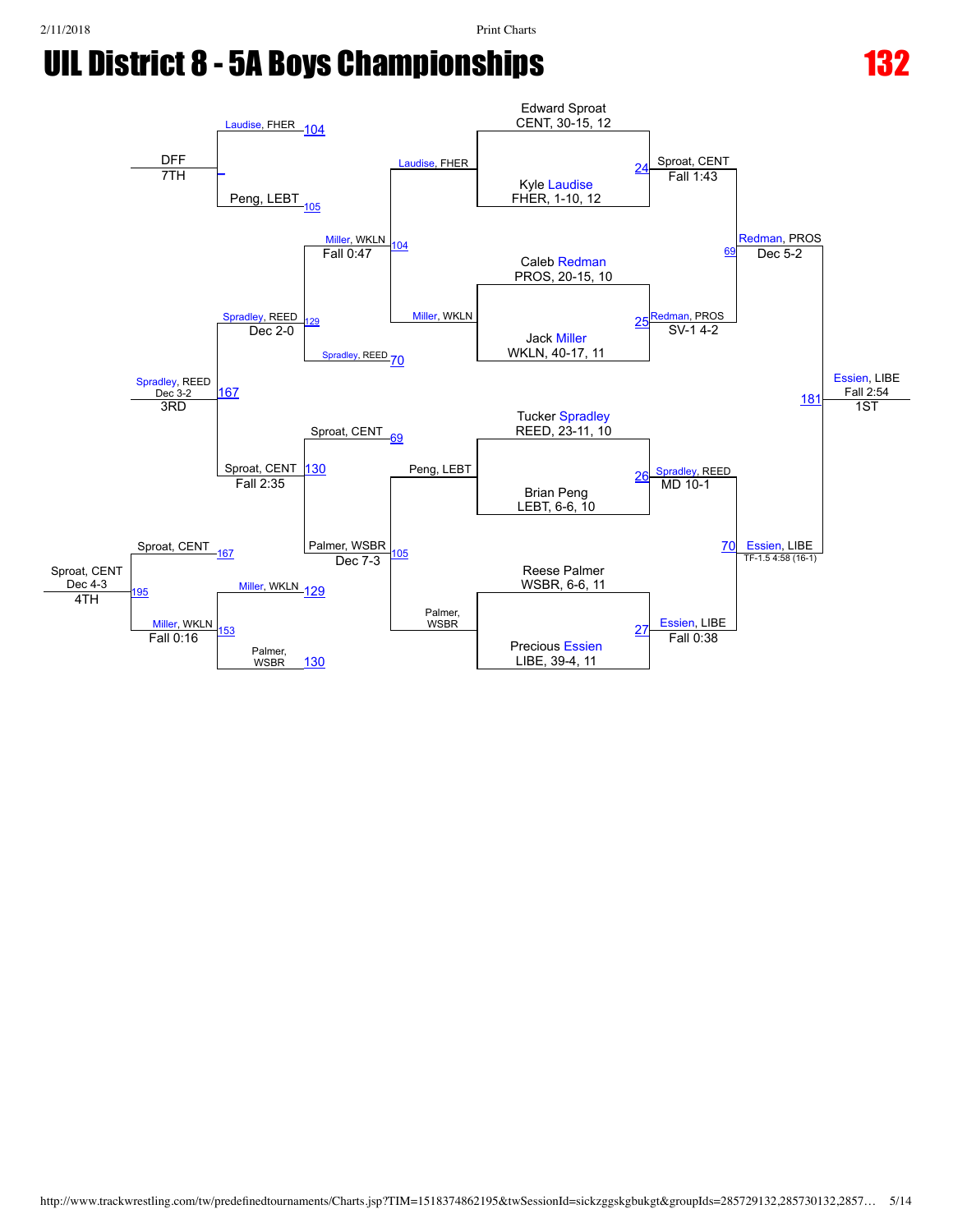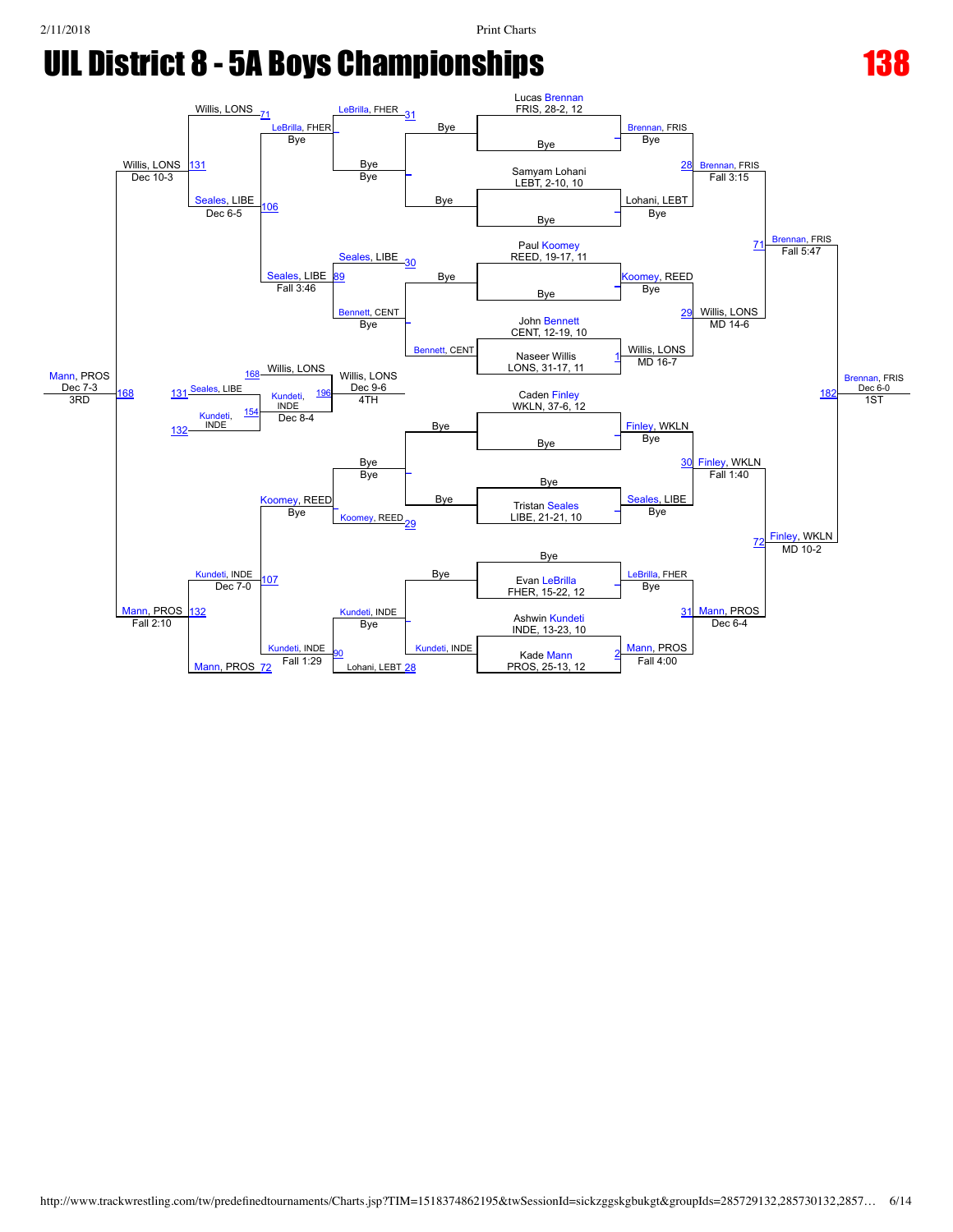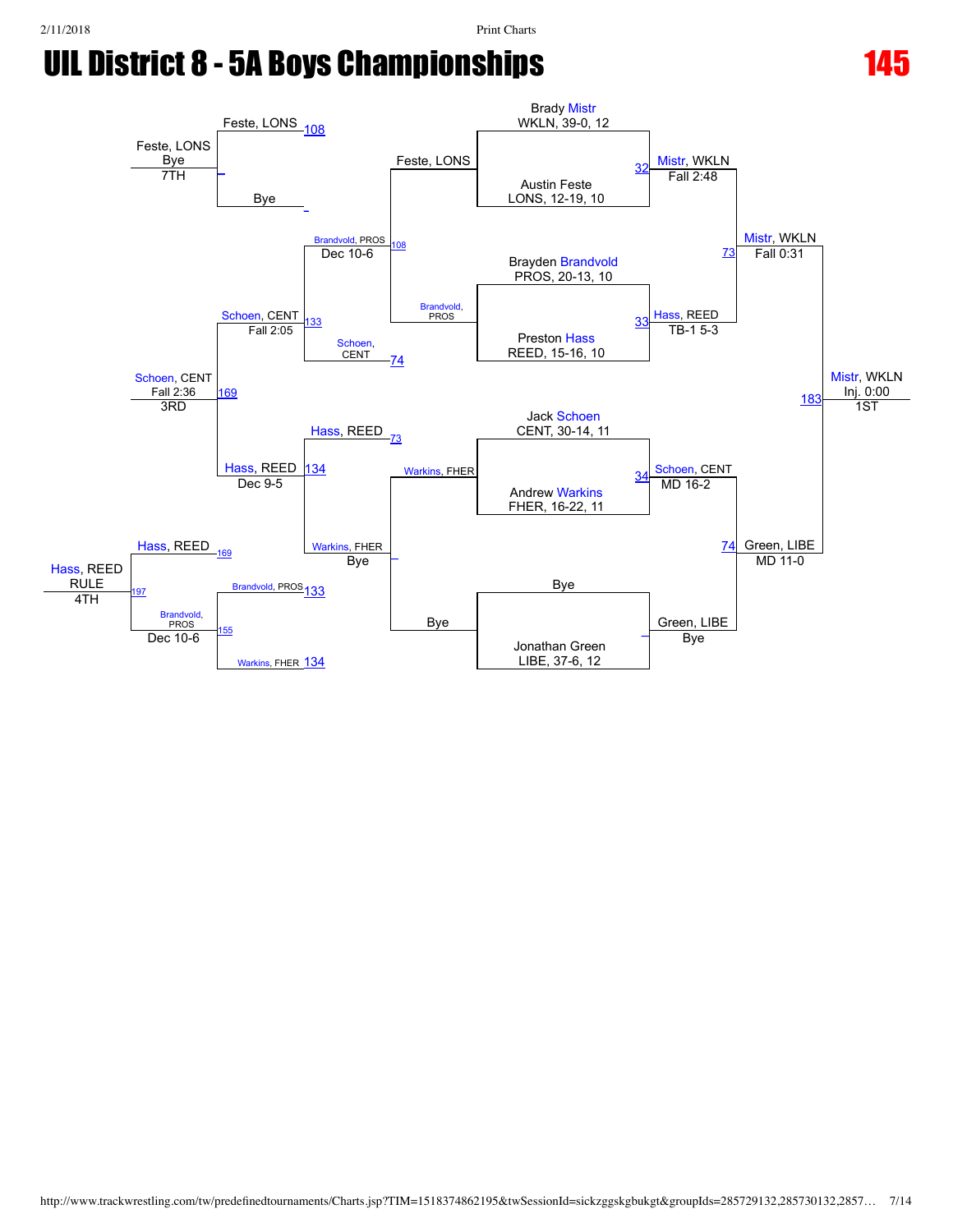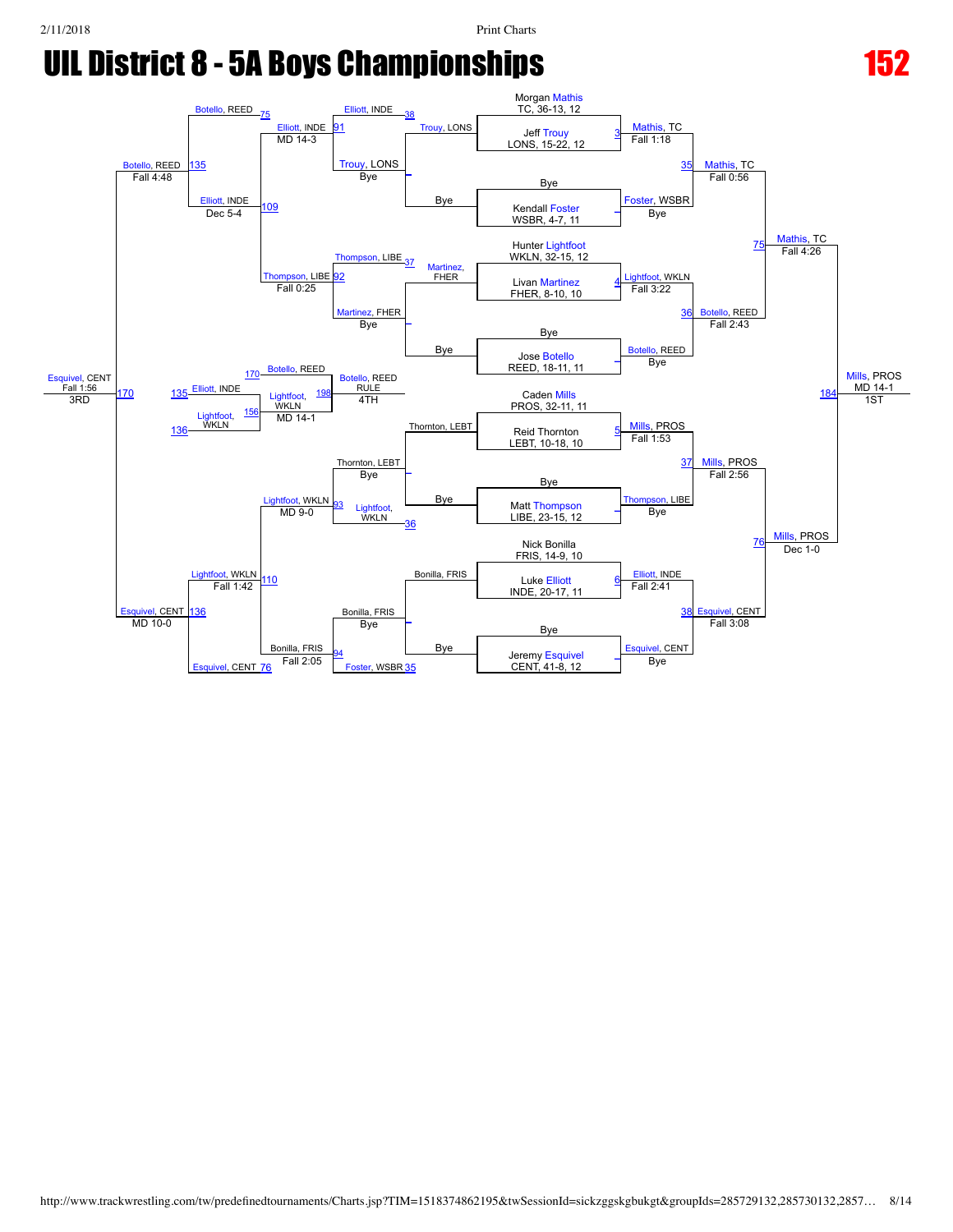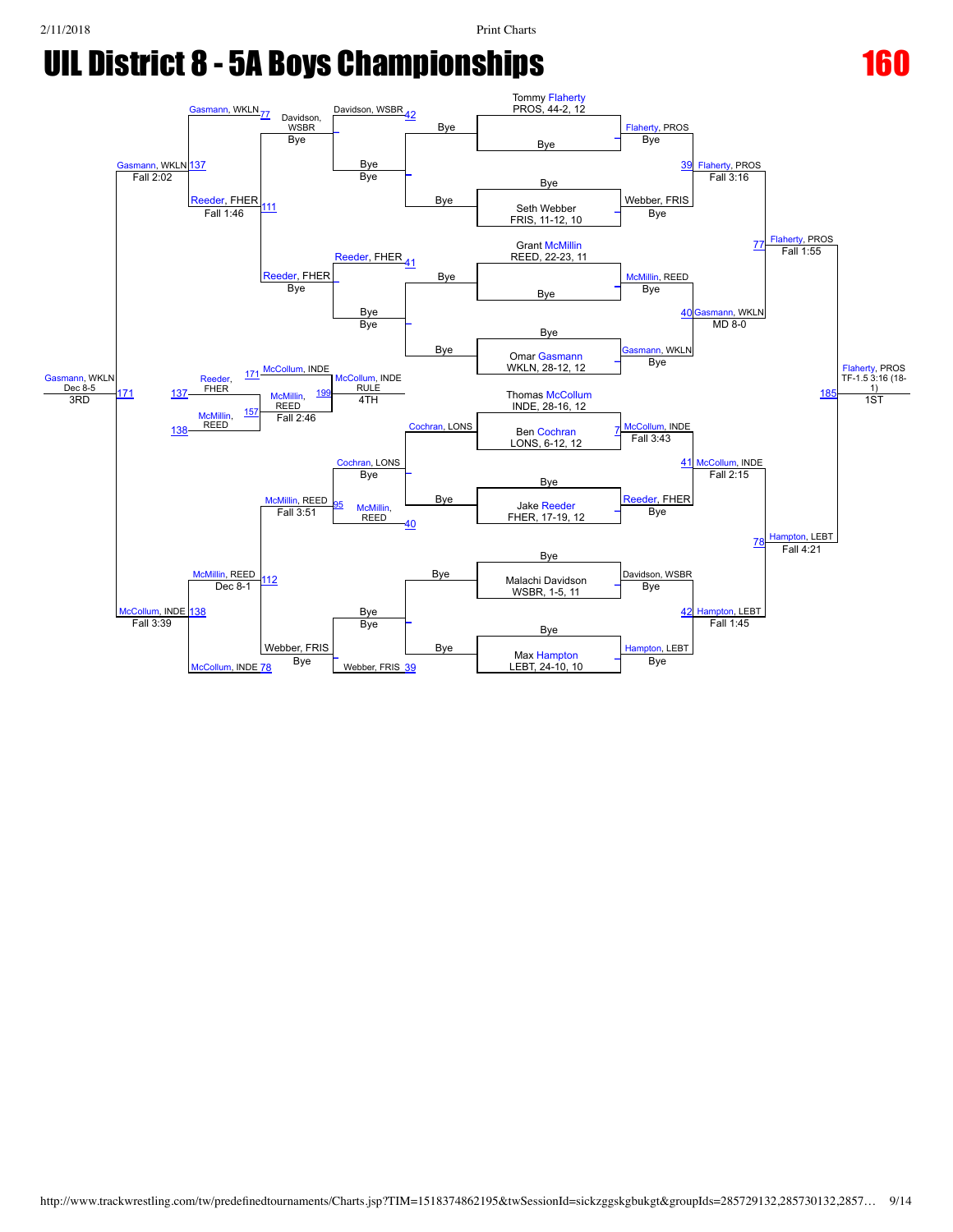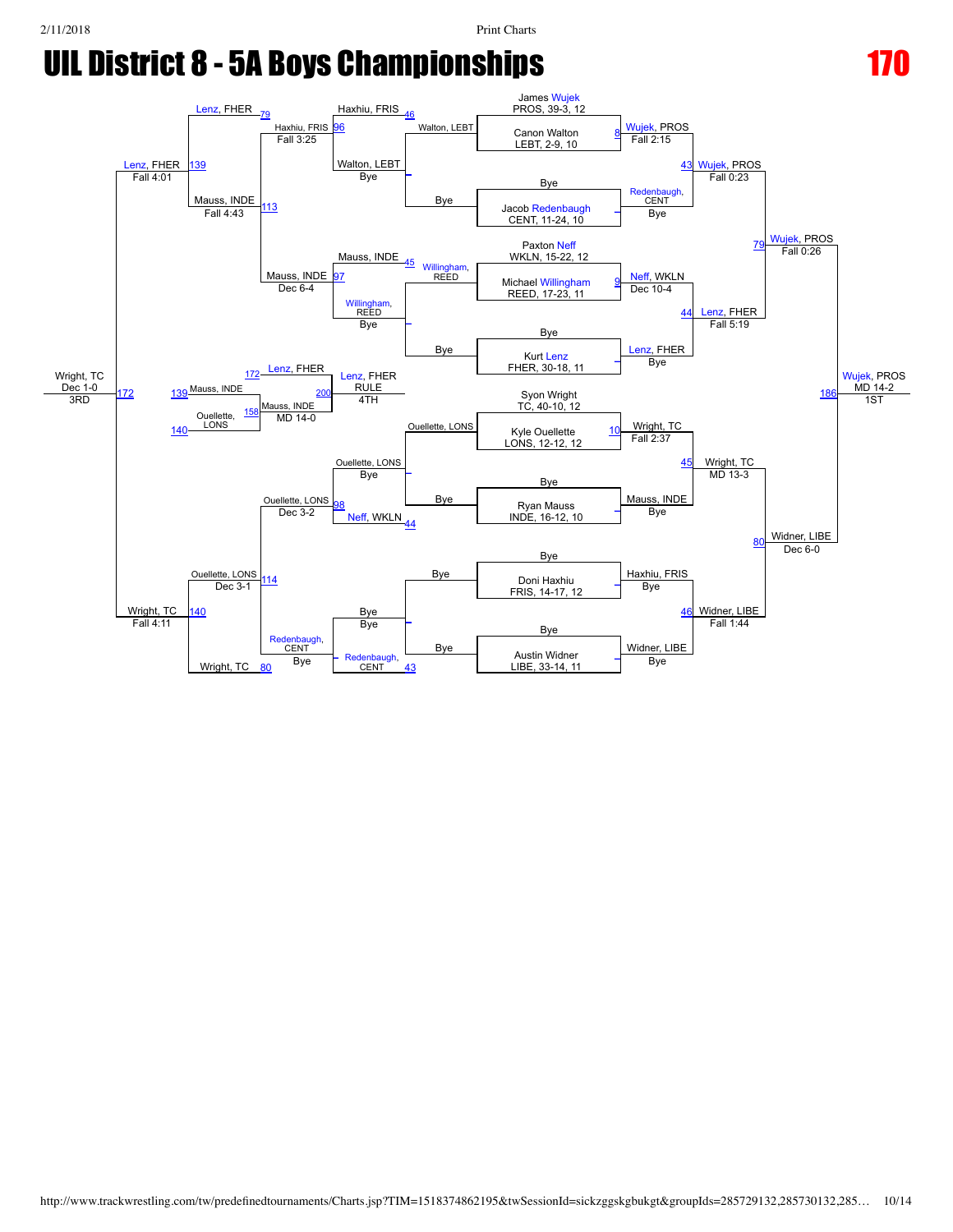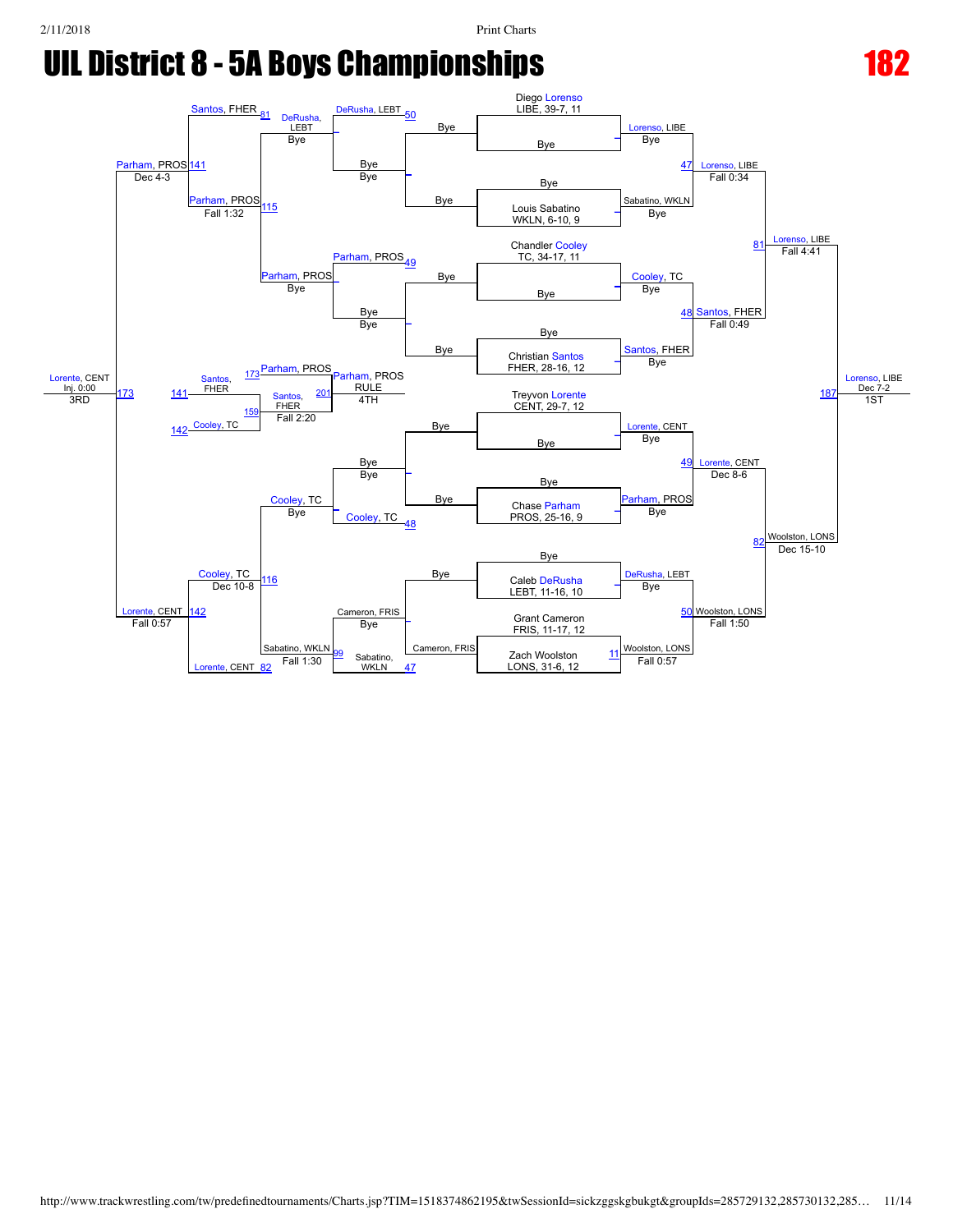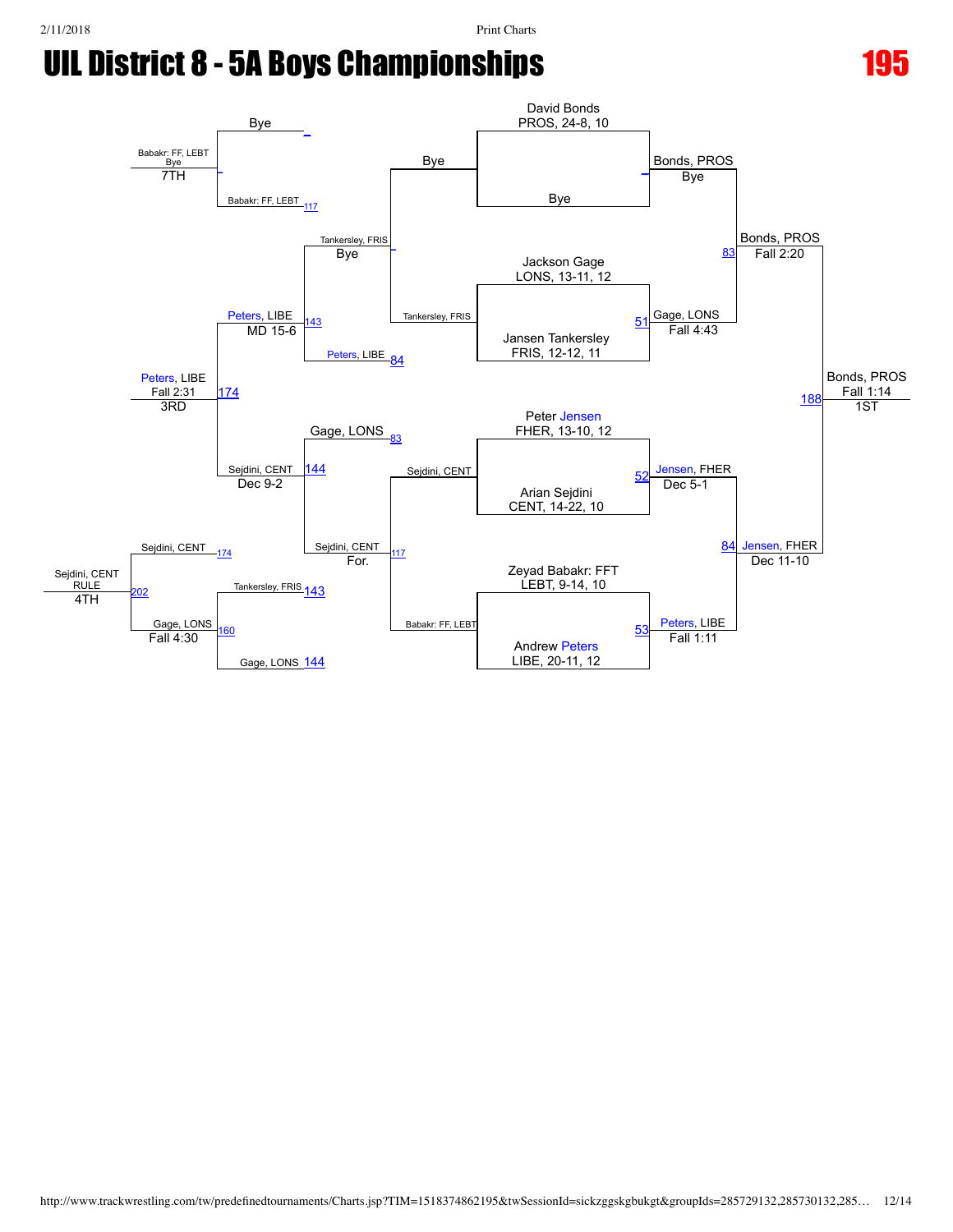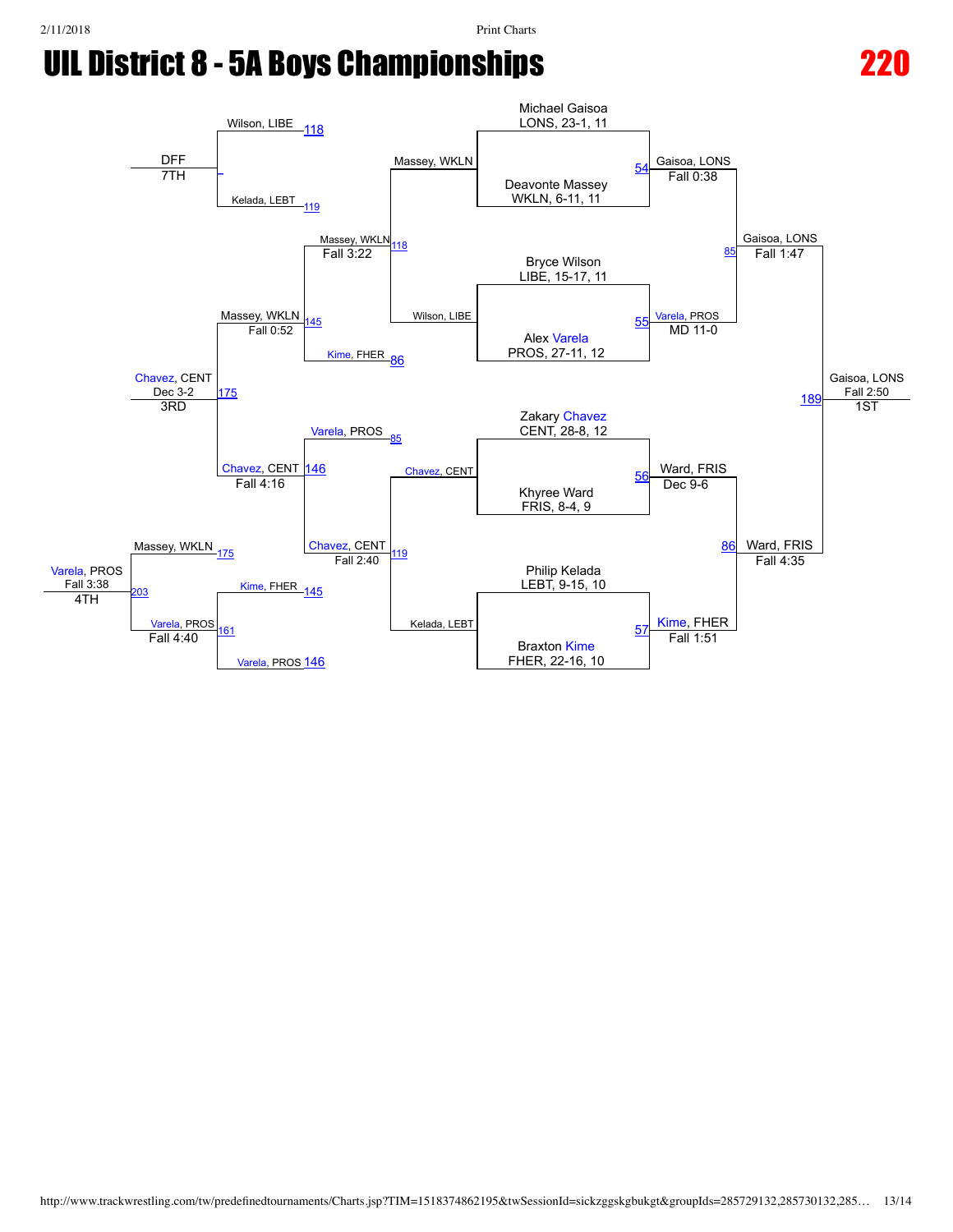